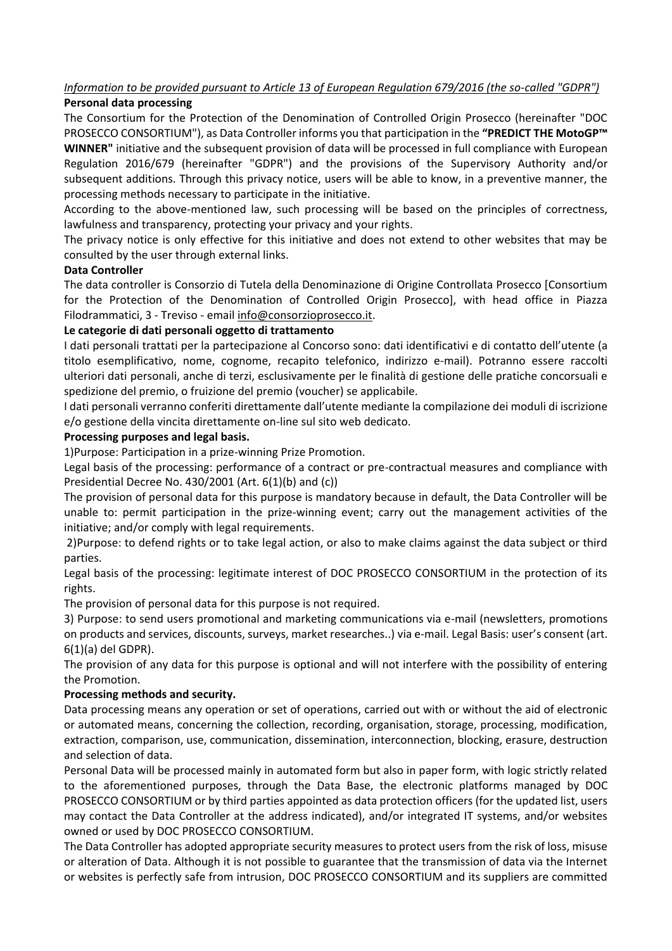### *Information to be provided pursuant to Article 13 of European Regulation 679/2016 (the so-called "GDPR")*  **Personal data processing**

The Consortium for the Protection of the Denomination of Controlled Origin Prosecco (hereinafter "DOC PROSECCO CONSORTIUM"), as Data Controller informs you that participation in the **"PREDICT THE MotoGP™ WINNER"** initiative and the subsequent provision of data will be processed in full compliance with European Regulation 2016/679 (hereinafter "GDPR") and the provisions of the Supervisory Authority and/or subsequent additions. Through this privacy notice, users will be able to know, in a preventive manner, the processing methods necessary to participate in the initiative.

According to the above-mentioned law, such processing will be based on the principles of correctness, lawfulness and transparency, protecting your privacy and your rights.

The privacy notice is only effective for this initiative and does not extend to other websites that may be consulted by the user through external links.

# **Data Controller**

The data controller is Consorzio di Tutela della Denominazione di Origine Controllata Prosecco [Consortium for the Protection of the Denomination of Controlled Origin Prosecco], with head office in Piazza Filodrammatici, 3 - Treviso - email [info@consorzioprosecco.it.](mailto:info@consorzioprosecco.it)

### **Le categorie di dati personali oggetto di trattamento**

I dati personali trattati per la partecipazione al Concorso sono: dati identificativi e di contatto dell'utente (a titolo esemplificativo, nome, cognome, recapito telefonico, indirizzo e-mail). Potranno essere raccolti ulteriori dati personali, anche di terzi, esclusivamente per le finalità di gestione delle pratiche concorsuali e spedizione del premio, o fruizione del premio (voucher) se applicabile.

I dati personali verranno conferiti direttamente dall'utente mediante la compilazione dei moduli di iscrizione e/o gestione della vincita direttamente on-line sul sito web dedicato.

### **Processing purposes and legal basis.**

1)Purpose: Participation in a prize-winning Prize Promotion.

Legal basis of the processing: performance of a contract or pre-contractual measures and compliance with Presidential Decree No. 430/2001 (Art. 6(1)(b) and (c))

The provision of personal data for this purpose is mandatory because in default, the Data Controller will be unable to: permit participation in the prize-winning event; carry out the management activities of the initiative; and/or comply with legal requirements.

2)Purpose: to defend rights or to take legal action, or also to make claims against the data subject or third parties.

Legal basis of the processing: legitimate interest of DOC PROSECCO CONSORTIUM in the protection of its rights.

The provision of personal data for this purpose is not required.

3) Purpose: to send users promotional and marketing communications via e-mail (newsletters, promotions on products and services, discounts, surveys, market researches..) via e-mail. Legal Basis: user's consent (art. 6(1)(a) del GDPR).

The provision of any data for this purpose is optional and will not interfere with the possibility of entering the Promotion.

# **Processing methods and security.**

Data processing means any operation or set of operations, carried out with or without the aid of electronic or automated means, concerning the collection, recording, organisation, storage, processing, modification, extraction, comparison, use, communication, dissemination, interconnection, blocking, erasure, destruction and selection of data.

Personal Data will be processed mainly in automated form but also in paper form, with logic strictly related to the aforementioned purposes, through the Data Base, the electronic platforms managed by DOC PROSECCO CONSORTIUM or by third parties appointed as data protection officers (for the updated list, users may contact the Data Controller at the address indicated), and/or integrated IT systems, and/or websites owned or used by DOC PROSECCO CONSORTIUM.

The Data Controller has adopted appropriate security measures to protect users from the risk of loss, misuse or alteration of Data. Although it is not possible to guarantee that the transmission of data via the Internet or websites is perfectly safe from intrusion, DOC PROSECCO CONSORTIUM and its suppliers are committed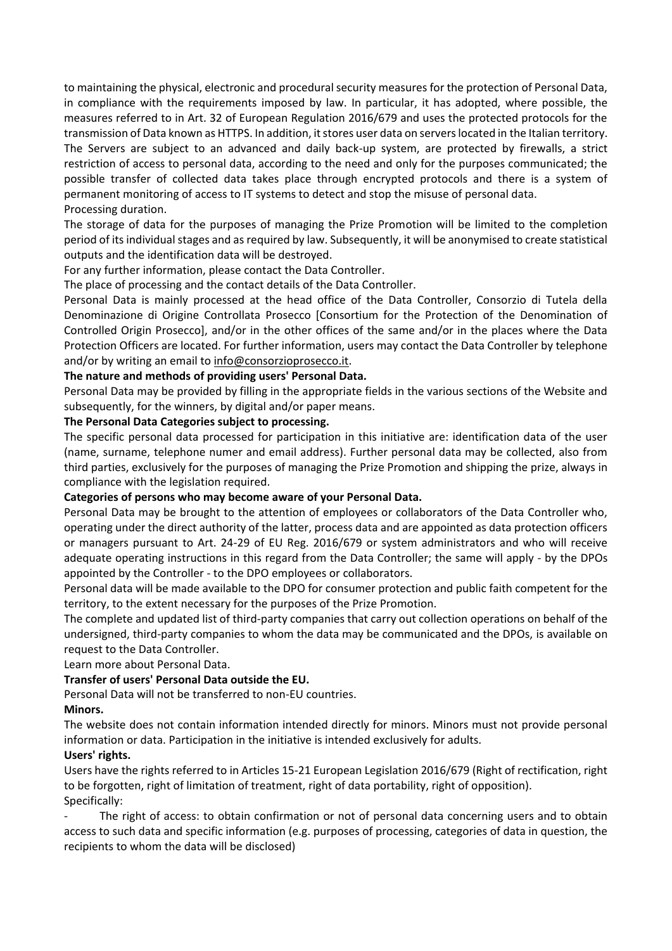to maintaining the physical, electronic and procedural security measures for the protection of Personal Data, in compliance with the requirements imposed by law. In particular, it has adopted, where possible, the measures referred to in Art. 32 of European Regulation 2016/679 and uses the protected protocols for the transmission of Data known as HTTPS. In addition, it stores user data on servers located in the Italian territory. The Servers are subject to an advanced and daily back-up system, are protected by firewalls, a strict restriction of access to personal data, according to the need and only for the purposes communicated; the possible transfer of collected data takes place through encrypted protocols and there is a system of permanent monitoring of access to IT systems to detect and stop the misuse of personal data. Processing duration.

The storage of data for the purposes of managing the Prize Promotion will be limited to the completion period of its individual stages and as required by law. Subsequently, it will be anonymised to create statistical outputs and the identification data will be destroyed.

For any further information, please contact the Data Controller.

The place of processing and the contact details of the Data Controller.

Personal Data is mainly processed at the head office of the Data Controller, Consorzio di Tutela della Denominazione di Origine Controllata Prosecco [Consortium for the Protection of the Denomination of Controlled Origin Prosecco], and/or in the other offices of the same and/or in the places where the Data Protection Officers are located. For further information, users may contact the Data Controller by telephone and/or by writing an email t[o info@consorzioprosecco.it.](mailto:info@consorzioprosecco.it)

### **The nature and methods of providing users' Personal Data.**

Personal Data may be provided by filling in the appropriate fields in the various sections of the Website and subsequently, for the winners, by digital and/or paper means.

#### **The Personal Data Categories subject to processing.**

The specific personal data processed for participation in this initiative are: identification data of the user (name, surname, telephone numer and email address). Further personal data may be collected, also from third parties, exclusively for the purposes of managing the Prize Promotion and shipping the prize, always in compliance with the legislation required.

#### **Categories of persons who may become aware of your Personal Data.**

Personal Data may be brought to the attention of employees or collaborators of the Data Controller who, operating under the direct authority of the latter, process data and are appointed as data protection officers or managers pursuant to Art. 24-29 of EU Reg. 2016/679 or system administrators and who will receive adequate operating instructions in this regard from the Data Controller; the same will apply - by the DPOs appointed by the Controller - to the DPO employees or collaborators.

Personal data will be made available to the DPO for consumer protection and public faith competent for the territory, to the extent necessary for the purposes of the Prize Promotion.

The complete and updated list of third-party companies that carry out collection operations on behalf of the undersigned, third-party companies to whom the data may be communicated and the DPOs, is available on request to the Data Controller.

Learn more about Personal Data.

# **Transfer of users' Personal Data outside the EU.**

Personal Data will not be transferred to non-EU countries.

#### **Minors.**

The website does not contain information intended directly for minors. Minors must not provide personal information or data. Participation in the initiative is intended exclusively for adults.

# **Users' rights.**

Users have the rights referred to in Articles 15-21 European Legislation 2016/679 (Right of rectification, right to be forgotten, right of limitation of treatment, right of data portability, right of opposition). Specifically:

The right of access: to obtain confirmation or not of personal data concerning users and to obtain access to such data and specific information (e.g. purposes of processing, categories of data in question, the recipients to whom the data will be disclosed)